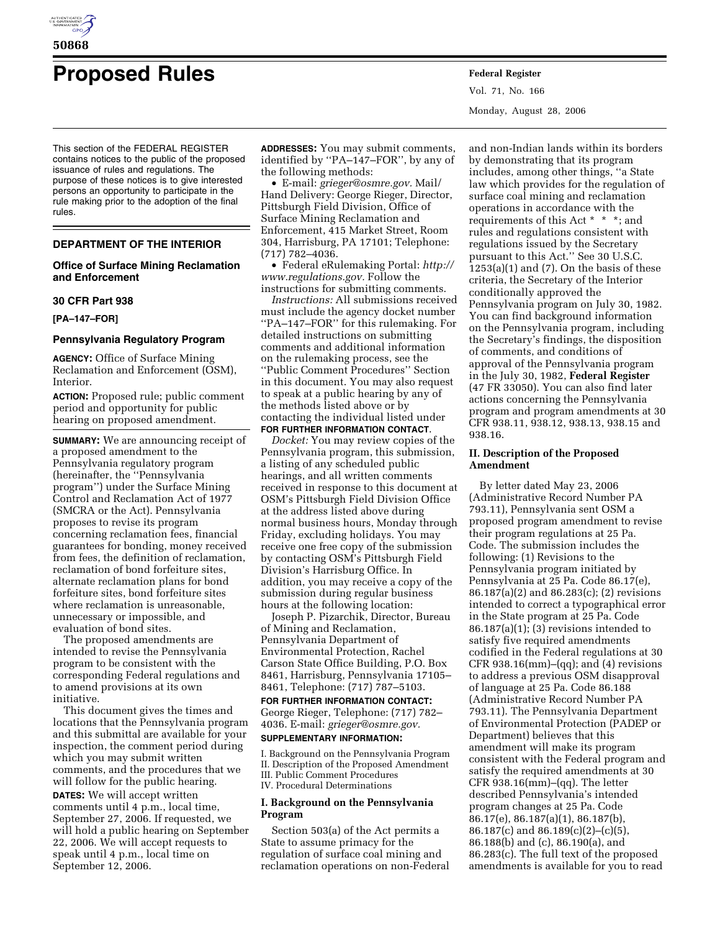

# **Proposed Rules Federal Register**

This section of the FEDERAL REGISTER contains notices to the public of the proposed issuance of rules and regulations. The purpose of these notices is to give interested persons an opportunity to participate in the rule making prior to the adoption of the final rules.

## **DEPARTMENT OF THE INTERIOR**

## **Office of Surface Mining Reclamation and Enforcement**

#### **30 CFR Part 938**

#### **[PA–147–FOR]**

#### **Pennsylvania Regulatory Program**

**AGENCY:** Office of Surface Mining Reclamation and Enforcement (OSM), Interior.

**ACTION:** Proposed rule; public comment period and opportunity for public hearing on proposed amendment.

**SUMMARY:** We are announcing receipt of a proposed amendment to the Pennsylvania regulatory program (hereinafter, the ''Pennsylvania program'') under the Surface Mining Control and Reclamation Act of 1977 (SMCRA or the Act). Pennsylvania proposes to revise its program concerning reclamation fees, financial guarantees for bonding, money received from fees, the definition of reclamation, reclamation of bond forfeiture sites, alternate reclamation plans for bond forfeiture sites, bond forfeiture sites where reclamation is unreasonable, unnecessary or impossible, and evaluation of bond sites.

The proposed amendments are intended to revise the Pennsylvania program to be consistent with the corresponding Federal regulations and to amend provisions at its own initiative.

This document gives the times and locations that the Pennsylvania program and this submittal are available for your inspection, the comment period during which you may submit written comments, and the procedures that we will follow for the public hearing.

**DATES:** We will accept written comments until 4 p.m., local time, September 27, 2006. If requested, we will hold a public hearing on September 22, 2006. We will accept requests to speak until 4 p.m., local time on September 12, 2006.

**ADDRESSES:** You may submit comments, identified by ''PA–147–FOR'', by any of the following methods:

• E-mail: *grieger@osmre.gov.* Mail/ Hand Delivery: George Rieger, Director, Pittsburgh Field Division, Office of Surface Mining Reclamation and Enforcement, 415 Market Street, Room 304, Harrisburg, PA 17101; Telephone: (717) 782–4036.

• Federal eRulemaking Portal: *http:// www.regulations.gov.* Follow the instructions for submitting comments.

*Instructions:* All submissions received must include the agency docket number ''PA–147–FOR'' for this rulemaking. For detailed instructions on submitting comments and additional information on the rulemaking process, see the ''Public Comment Procedures'' Section in this document. You may also request to speak at a public hearing by any of the methods listed above or by contacting the individual listed under **FOR FURTHER INFORMATION CONTACT**.

*Docket:* You may review copies of the Pennsylvania program, this submission, a listing of any scheduled public hearings, and all written comments received in response to this document at OSM's Pittsburgh Field Division Office at the address listed above during normal business hours, Monday through Friday, excluding holidays. You may receive one free copy of the submission by contacting OSM's Pittsburgh Field Division's Harrisburg Office. In addition, you may receive a copy of the submission during regular business hours at the following location:

Joseph P. Pizarchik, Director, Bureau of Mining and Reclamation, Pennsylvania Department of Environmental Protection, Rachel Carson State Office Building, P.O. Box 8461, Harrisburg, Pennsylvania 17105– 8461, Telephone: (717) 787–5103. **FOR FURTHER INFORMATION CONTACT:**  George Rieger, Telephone: (717) 782– 4036. E-mail: *grieger@osmre.gov.*  **SUPPLEMENTARY INFORMATION:** 

I. Background on the Pennsylvania Program II. Description of the Proposed Amendment III. Public Comment Procedures IV. Procedural Determinations

## **I. Background on the Pennsylvania Program**

Section 503(a) of the Act permits a State to assume primacy for the regulation of surface coal mining and reclamation operations on non-Federal Vol. 71, No. 166 Monday, August 28, 2006

and non-Indian lands within its borders by demonstrating that its program includes, among other things, ''a State law which provides for the regulation of surface coal mining and reclamation operations in accordance with the requirements of this Act \* \* \*; and rules and regulations consistent with regulations issued by the Secretary pursuant to this Act.'' See 30 U.S.C.  $1253(a)(1)$  and  $(7)$ . On the basis of these criteria, the Secretary of the Interior conditionally approved the Pennsylvania program on July 30, 1982. You can find background information on the Pennsylvania program, including the Secretary's findings, the disposition of comments, and conditions of approval of the Pennsylvania program in the July 30, 1982, **Federal Register**  (47 FR 33050). You can also find later actions concerning the Pennsylvania program and program amendments at 30 CFR 938.11, 938.12, 938.13, 938.15 and 938.16.

## **II. Description of the Proposed Amendment**

By letter dated May 23, 2006 (Administrative Record Number PA 793.11), Pennsylvania sent OSM a proposed program amendment to revise their program regulations at 25 Pa. Code. The submission includes the following: (1) Revisions to the Pennsylvania program initiated by Pennsylvania at 25 Pa. Code 86.17(e), 86.187(a)(2) and 86.283(c); (2) revisions intended to correct a typographical error in the State program at 25 Pa. Code 86.187(a)(1); (3) revisions intended to satisfy five required amendments codified in the Federal regulations at 30 CFR 938.16( $mm$ )–( $qq$ ); and (4) revisions to address a previous OSM disapproval of language at 25 Pa. Code 86.188 (Administrative Record Number PA 793.11). The Pennsylvania Department of Environmental Protection (PADEP or Department) believes that this amendment will make its program consistent with the Federal program and satisfy the required amendments at 30 CFR 938.16(mm)–(qq). The letter described Pennsylvania's intended program changes at 25 Pa. Code 86.17(e), 86.187(a)(1), 86.187(b), 86.187(c) and 86.189(c)(2)–(c)(5), 86.188(b) and (c), 86.190(a), and 86.283(c). The full text of the proposed amendments is available for you to read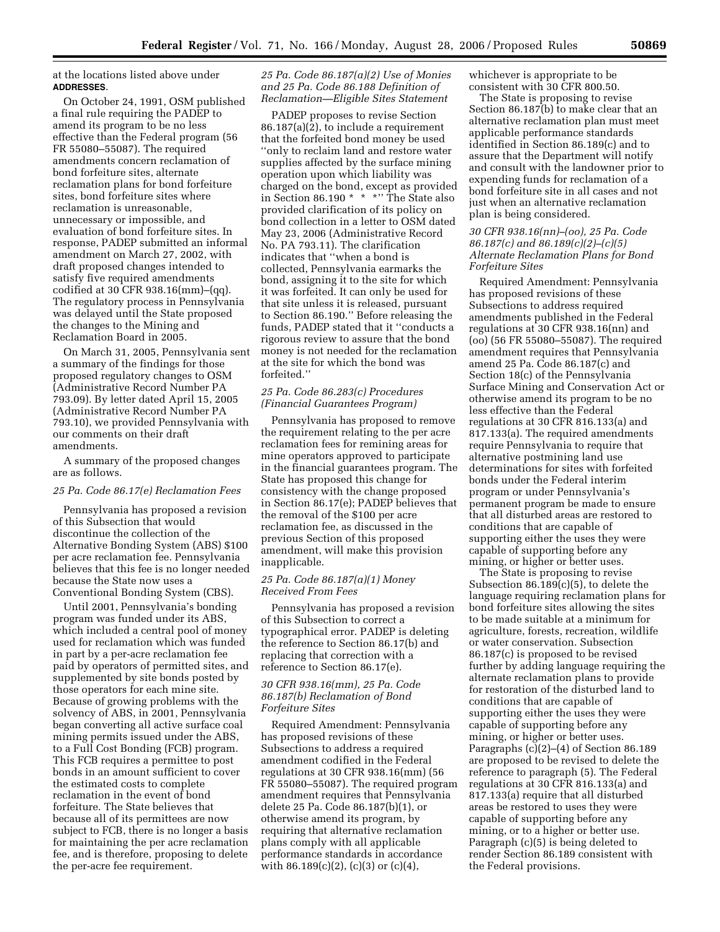at the locations listed above under **ADDRESSES**.

On October 24, 1991, OSM published a final rule requiring the PADEP to amend its program to be no less effective than the Federal program (56 FR 55080–55087). The required amendments concern reclamation of bond forfeiture sites, alternate reclamation plans for bond forfeiture sites, bond forfeiture sites where reclamation is unreasonable, unnecessary or impossible, and evaluation of bond forfeiture sites. In response, PADEP submitted an informal amendment on March 27, 2002, with draft proposed changes intended to satisfy five required amendments codified at 30 CFR 938.16(mm)–(qq). The regulatory process in Pennsylvania was delayed until the State proposed the changes to the Mining and Reclamation Board in 2005.

On March 31, 2005, Pennsylvania sent a summary of the findings for those proposed regulatory changes to OSM (Administrative Record Number PA 793.09). By letter dated April 15, 2005 (Administrative Record Number PA 793.10), we provided Pennsylvania with our comments on their draft amendments.

A summary of the proposed changes are as follows.

## *25 Pa. Code 86.17(e) Reclamation Fees*

Pennsylvania has proposed a revision of this Subsection that would discontinue the collection of the Alternative Bonding System (ABS) \$100 per acre reclamation fee. Pennsylvania believes that this fee is no longer needed because the State now uses a Conventional Bonding System (CBS).

Until 2001, Pennsylvania's bonding program was funded under its ABS, which included a central pool of money used for reclamation which was funded in part by a per-acre reclamation fee paid by operators of permitted sites, and supplemented by site bonds posted by those operators for each mine site. Because of growing problems with the solvency of ABS, in 2001, Pennsylvania began converting all active surface coal mining permits issued under the ABS, to a Full Cost Bonding (FCB) program. This FCB requires a permittee to post bonds in an amount sufficient to cover the estimated costs to complete reclamation in the event of bond forfeiture. The State believes that because all of its permittees are now subject to FCB, there is no longer a basis for maintaining the per acre reclamation fee, and is therefore, proposing to delete the per-acre fee requirement.

## *25 Pa. Code 86.187(a)(2) Use of Monies and 25 Pa. Code 86.188 Definition of Reclamation—Eligible Sites Statement*

PADEP proposes to revise Section 86.187(a)(2), to include a requirement that the forfeited bond money be used ''only to reclaim land and restore water supplies affected by the surface mining operation upon which liability was charged on the bond, except as provided in Section 86.190 \* \* \*'' The State also provided clarification of its policy on bond collection in a letter to OSM dated May 23, 2006 (Administrative Record No. PA 793.11). The clarification indicates that ''when a bond is collected, Pennsylvania earmarks the bond, assigning it to the site for which it was forfeited. It can only be used for that site unless it is released, pursuant to Section 86.190.'' Before releasing the funds, PADEP stated that it ''conducts a rigorous review to assure that the bond money is not needed for the reclamation at the site for which the bond was forfeited<sup>'</sup>

## *25 Pa. Code 86.283(c) Procedures (Financial Guarantees Program)*

Pennsylvania has proposed to remove the requirement relating to the per acre reclamation fees for remining areas for mine operators approved to participate in the financial guarantees program. The State has proposed this change for consistency with the change proposed in Section 86.17(e); PADEP believes that the removal of the \$100 per acre reclamation fee, as discussed in the previous Section of this proposed amendment, will make this provision inapplicable.

## *25 Pa. Code 86.187(a)(1) Money Received From Fees*

Pennsylvania has proposed a revision of this Subsection to correct a typographical error. PADEP is deleting the reference to Section 86.17(b) and replacing that correction with a reference to Section 86.17(e).

## *30 CFR 938.16(mm), 25 Pa. Code 86.187(b) Reclamation of Bond Forfeiture Sites*

Required Amendment: Pennsylvania has proposed revisions of these Subsections to address a required amendment codified in the Federal regulations at 30 CFR 938.16(mm) (56 FR 55080–55087). The required program amendment requires that Pennsylvania delete 25 Pa. Code 86.187(b)(1), or otherwise amend its program, by requiring that alternative reclamation plans comply with all applicable performance standards in accordance with  $86.189(c)(2)$ , (c)(3) or (c)(4),

whichever is appropriate to be consistent with 30 CFR 800.50.

The State is proposing to revise Section 86.187(b) to make clear that an alternative reclamation plan must meet applicable performance standards identified in Section 86.189(c) and to assure that the Department will notify and consult with the landowner prior to expending funds for reclamation of a bond forfeiture site in all cases and not just when an alternative reclamation plan is being considered.

## *30 CFR 938.16(nn)–(oo), 25 Pa. Code 86.187(c) and 86.189(c)(2)–(c)(5) Alternate Reclamation Plans for Bond Forfeiture Sites*

Required Amendment: Pennsylvania has proposed revisions of these Subsections to address required amendments published in the Federal regulations at 30 CFR 938.16(nn) and (oo) (56 FR 55080–55087). The required amendment requires that Pennsylvania amend 25 Pa. Code 86.187(c) and Section 18(c) of the Pennsylvania Surface Mining and Conservation Act or otherwise amend its program to be no less effective than the Federal regulations at 30 CFR 816.133(a) and 817.133(a). The required amendments require Pennsylvania to require that alternative postmining land use determinations for sites with forfeited bonds under the Federal interim program or under Pennsylvania's permanent program be made to ensure that all disturbed areas are restored to conditions that are capable of supporting either the uses they were capable of supporting before any mining, or higher or better uses.

The State is proposing to revise Subsection 86.189(c)(5), to delete the language requiring reclamation plans for bond forfeiture sites allowing the sites to be made suitable at a minimum for agriculture, forests, recreation, wildlife or water conservation. Subsection 86.187(c) is proposed to be revised further by adding language requiring the alternate reclamation plans to provide for restoration of the disturbed land to conditions that are capable of supporting either the uses they were capable of supporting before any mining, or higher or better uses. Paragraphs (c)(2)–(4) of Section 86.189 are proposed to be revised to delete the reference to paragraph (5). The Federal regulations at 30 CFR 816.133(a) and 817.133(a) require that all disturbed areas be restored to uses they were capable of supporting before any mining, or to a higher or better use. Paragraph (c)(5) is being deleted to render Section 86.189 consistent with the Federal provisions.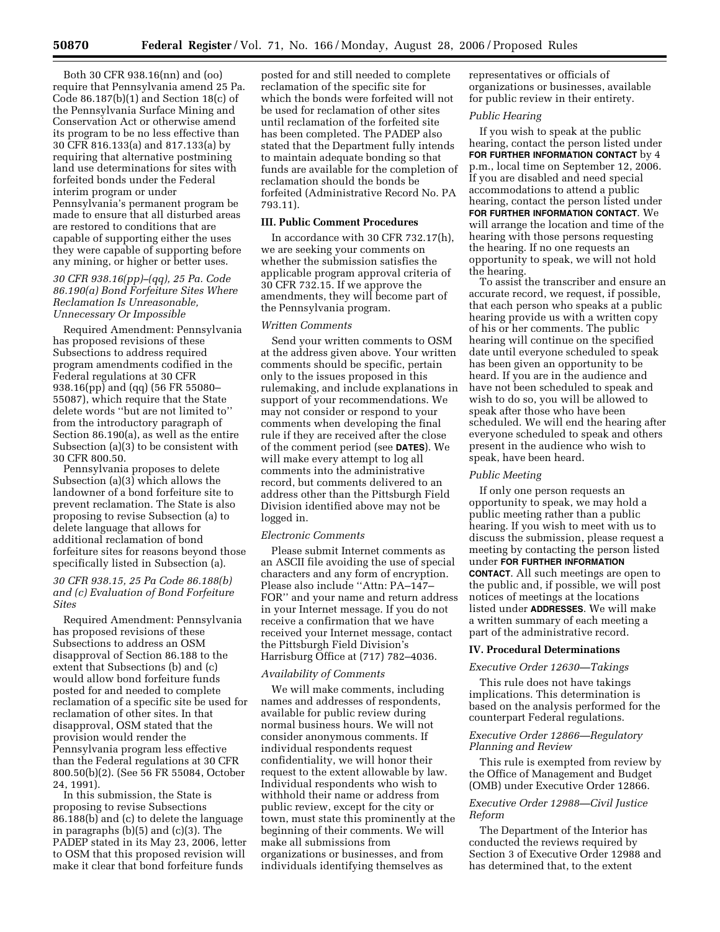Both 30 CFR 938.16(nn) and (oo) require that Pennsylvania amend 25 Pa. Code 86.187(b)(1) and Section 18(c) of the Pennsylvania Surface Mining and Conservation Act or otherwise amend its program to be no less effective than 30 CFR 816.133(a) and 817.133(a) by requiring that alternative postmining land use determinations for sites with forfeited bonds under the Federal interim program or under Pennsylvania's permanent program be made to ensure that all disturbed areas are restored to conditions that are capable of supporting either the uses they were capable of supporting before any mining, or higher or better uses.

## *30 CFR 938.16(pp)–(qq), 25 Pa. Code 86.190(a) Bond Forfeiture Sites Where Reclamation Is Unreasonable, Unnecessary Or Impossible*

Required Amendment: Pennsylvania has proposed revisions of these Subsections to address required program amendments codified in the Federal regulations at 30 CFR 938.16(pp) and (qq) (56 FR 55080– 55087), which require that the State delete words ''but are not limited to'' from the introductory paragraph of Section 86.190(a), as well as the entire Subsection (a)(3) to be consistent with 30 CFR 800.50.

Pennsylvania proposes to delete Subsection (a)(3) which allows the landowner of a bond forfeiture site to prevent reclamation. The State is also proposing to revise Subsection (a) to delete language that allows for additional reclamation of bond forfeiture sites for reasons beyond those specifically listed in Subsection (a).

## *30 CFR 938.15, 25 Pa Code 86.188(b) and (c) Evaluation of Bond Forfeiture Sites*

Required Amendment: Pennsylvania has proposed revisions of these Subsections to address an OSM disapproval of Section 86.188 to the extent that Subsections (b) and (c) would allow bond forfeiture funds posted for and needed to complete reclamation of a specific site be used for reclamation of other sites. In that disapproval, OSM stated that the provision would render the Pennsylvania program less effective than the Federal regulations at 30 CFR 800.50(b)(2). (See 56 FR 55084, October 24, 1991).

In this submission, the State is proposing to revise Subsections 86.188(b) and (c) to delete the language in paragraphs (b)(5) and (c)(3). The PADEP stated in its May 23, 2006, letter to OSM that this proposed revision will make it clear that bond forfeiture funds

posted for and still needed to complete reclamation of the specific site for which the bonds were forfeited will not be used for reclamation of other sites until reclamation of the forfeited site has been completed. The PADEP also stated that the Department fully intends to maintain adequate bonding so that funds are available for the completion of reclamation should the bonds be forfeited (Administrative Record No. PA 793.11).

## **III. Public Comment Procedures**

In accordance with 30 CFR 732.17(h), we are seeking your comments on whether the submission satisfies the applicable program approval criteria of 30 CFR 732.15. If we approve the amendments, they will become part of the Pennsylvania program.

## *Written Comments*

Send your written comments to OSM at the address given above. Your written comments should be specific, pertain only to the issues proposed in this rulemaking, and include explanations in support of your recommendations. We may not consider or respond to your comments when developing the final rule if they are received after the close of the comment period (see **DATES**). We will make every attempt to log all comments into the administrative record, but comments delivered to an address other than the Pittsburgh Field Division identified above may not be logged in.

#### *Electronic Comments*

Please submit Internet comments as an ASCII file avoiding the use of special characters and any form of encryption. Please also include ''Attn: PA–147– FOR'' and your name and return address in your Internet message. If you do not receive a confirmation that we have received your Internet message, contact the Pittsburgh Field Division's Harrisburg Office at (717) 782–4036.

## *Availability of Comments*

We will make comments, including names and addresses of respondents, available for public review during normal business hours. We will not consider anonymous comments. If individual respondents request confidentiality, we will honor their request to the extent allowable by law. Individual respondents who wish to withhold their name or address from public review, except for the city or town, must state this prominently at the beginning of their comments. We will make all submissions from organizations or businesses, and from individuals identifying themselves as

representatives or officials of organizations or businesses, available for public review in their entirety.

## *Public Hearing*

If you wish to speak at the public hearing, contact the person listed under **FOR FURTHER INFORMATION CONTACT** by 4 p.m., local time on September 12, 2006. If you are disabled and need special accommodations to attend a public hearing, contact the person listed under **FOR FURTHER INFORMATION CONTACT**. We will arrange the location and time of the hearing with those persons requesting the hearing. If no one requests an opportunity to speak, we will not hold the hearing.

To assist the transcriber and ensure an accurate record, we request, if possible, that each person who speaks at a public hearing provide us with a written copy of his or her comments. The public hearing will continue on the specified date until everyone scheduled to speak has been given an opportunity to be heard. If you are in the audience and have not been scheduled to speak and wish to do so, you will be allowed to speak after those who have been scheduled. We will end the hearing after everyone scheduled to speak and others present in the audience who wish to speak, have been heard.

#### *Public Meeting*

If only one person requests an opportunity to speak, we may hold a public meeting rather than a public hearing. If you wish to meet with us to discuss the submission, please request a meeting by contacting the person listed under **FOR FURTHER INFORMATION CONTACT**. All such meetings are open to the public and, if possible, we will post notices of meetings at the locations listed under **ADDRESSES**. We will make a written summary of each meeting a part of the administrative record.

## **IV. Procedural Determinations**

#### *Executive Order 12630—Takings*

This rule does not have takings implications. This determination is based on the analysis performed for the counterpart Federal regulations.

## *Executive Order 12866—Regulatory Planning and Review*

This rule is exempted from review by the Office of Management and Budget (OMB) under Executive Order 12866.

## *Executive Order 12988—Civil Justice Reform*

The Department of the Interior has conducted the reviews required by Section 3 of Executive Order 12988 and has determined that, to the extent